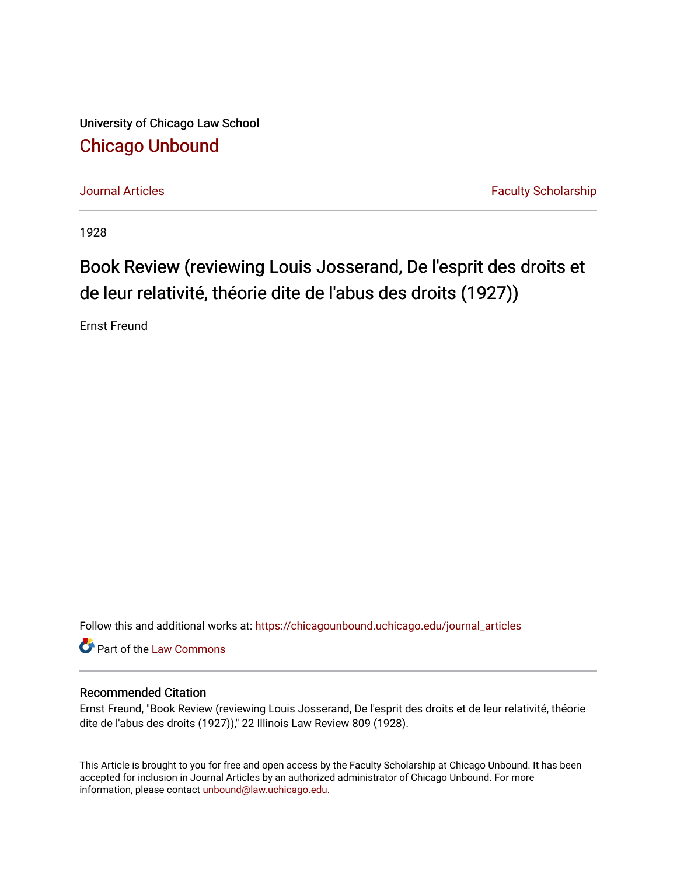University of Chicago Law School [Chicago Unbound](https://chicagounbound.uchicago.edu/)

[Journal Articles](https://chicagounbound.uchicago.edu/journal_articles) **Faculty Scholarship Journal Articles** 

1928

## Book Review (reviewing Louis Josserand, De l'esprit des droits et de leur relativité, théorie dite de l'abus des droits (1927))

Ernst Freund

Follow this and additional works at: [https://chicagounbound.uchicago.edu/journal\\_articles](https://chicagounbound.uchicago.edu/journal_articles?utm_source=chicagounbound.uchicago.edu%2Fjournal_articles%2F7798&utm_medium=PDF&utm_campaign=PDFCoverPages) 

Part of the [Law Commons](http://network.bepress.com/hgg/discipline/578?utm_source=chicagounbound.uchicago.edu%2Fjournal_articles%2F7798&utm_medium=PDF&utm_campaign=PDFCoverPages)

## Recommended Citation

Ernst Freund, "Book Review (reviewing Louis Josserand, De l'esprit des droits et de leur relativité, théorie dite de l'abus des droits (1927))," 22 Illinois Law Review 809 (1928).

This Article is brought to you for free and open access by the Faculty Scholarship at Chicago Unbound. It has been accepted for inclusion in Journal Articles by an authorized administrator of Chicago Unbound. For more information, please contact [unbound@law.uchicago.edu](mailto:unbound@law.uchicago.edu).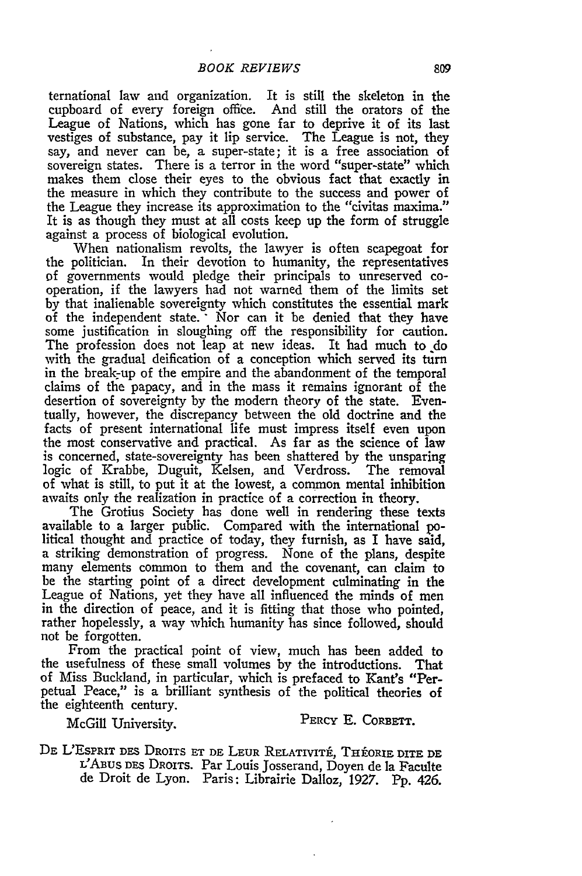ternational law and organization. It is still the skeleton in the cupboard of every foreign office. And still the orators of the League of Nations, which has gone far to deprive it of its last vestiges of substance, pay it lip service. The League is not, they say, and never can be, a super-state; it is a free association of sovereign states. There is a terror in the word "super-state" which makes them close their eyes to the obvious fact that exactly in the measure in which they contribute to the success and power of the League they increase its approximation to the "civitas maxima." It is as though they must at all costs keep up the form of struggle against a process of biological evolution.

When nationalism revolts, the lawyer is often scapegoat for the politician. In their devotion to humanity, the representatives of governments would pledge their principals to unreserved cooperation, if the lawyers had not warned them of the limits set by that inalienable sovereignty which constitutes the essential mark of the independent state. Nor can it be denied that they have some justification in sloughing off the responsibility for caution. The profession does not leap at new ideas. It had much to do with the gradual deification of a conception which served its turn in the break-up of the empire and the abandonment of the temporal claims of the papacy, and in the mass it remains ignorant of the desertion of sovereignty by the modern theory of the state. Eventually, however, the discrepancy between the old doctrine and the facts of present international life must impress itself even upon the most conservative and practical. As far as the science of law is concerned, state-sovereignty has been shattered by the unsparing logic of Krabbe, Duguit, Kelsen, and Verdross. The removal of what is still, to put it at the lowest, a common mental inhibition awaits only the realization in practice of a correction in theory.

The Grotius Society has done well in rendering these texts available to a larger public. Compared with the international political thought and practice of today, they furnish, as I have said, a striking demonstration of progress. None of the plans, despite many elements common to them and the covenant, can claim to be the starting point of a direct development culminating in the League of Nations, yet they have all influenced the minds of men in the direction of peace, and it is fitting that those who pointed, rather hopelessly, a way which humanity has since followed, should not be forgotten.

From the practical point of view, much has been added to the usefulness of these small volumes by the introductions. That of Miss Buckland, in particular, which is prefaced to Kant's "Perpetual Peace," is a brilliant synthesis of the political theories of the eighteenth century.

McGill University. PERCY E. CORBETT.

DE L'ESPRIT DES DROITS ET DE LEUR RELATIVITÉ, THÉORIE DITE DE L'ABus DES DROITS. Par Louis Josserand, Doyen de la Faculte de Droit de Lyon. Paris: Librairie Dalloz, 1927. Pp. 426.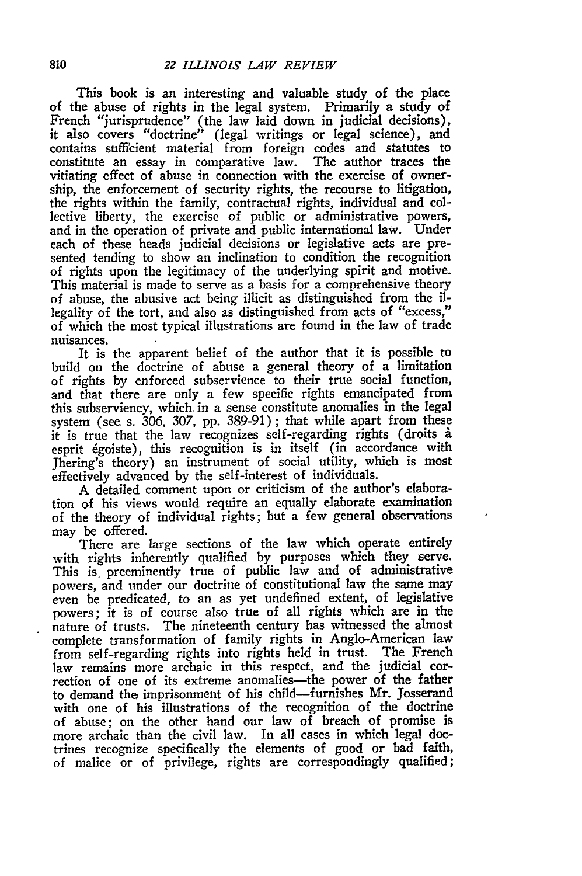This book is an interesting and valuable study of the place of the abuse of rights in the legal system. Primarily a study of French "jurisprudence" (the law laid down in judicial decisions), it also covers "doctrine" (legal writings or legal science), and contains sufficient material from foreign codes and statutes to constitute an essay in comparative law. The author traces the vitiating effect of abuse in connection with the exercise of ownership, the enforcement of security rights, the recourse to litigation, the rights within the family, contractual rights, individual and collective liberty, the exercise of public or administrative powers, and in the operation of private and public international law. Under each of these heads judicial decisions or legislative acts are presented tending to show an inclination to condition the recognition of rights upon the legitimacy of the underlying spirit and motive. This material is made to serve as a basis for a comprehensive theory of abuse, the abusive act being illicit as distinguished from the illegality of the tort, and also as distinguished from acts of "excess," of which the most typical illustrations are found in the law of trade nuisances.

It is the apparent belief of the author that it is possible to build on the doctrine of abuse a general theory of a limitation of rights by enforced subservience to their true social function, and that there are only a few specific rights emancipated from this subserviency, which. in a sense constitute anomalies in the legal system (see s. 306, 307, pp. 389-91); that while apart from these it is true that the law recognizes self-regarding rights (droits *.* esprit 6goiste), this recognition is in itself (in accordance with Jhering's theory) an instrument of social utility, which is most effectively advanced by the self-interest of individuals.

A detailed comment upon or criticism of the author's elaboration of his views would require an equally elaborate examination of the theory of individual rights; but a few general observations may be offered.

There are large sections of the law which operate entirely with rights inherently qualified by purposes which they serve. This is preeminently true of public law and of administrative powers, and under our doctrine of constitutional law the same may even be predicated, to an as yet undefined extent, of legislative powers; it is of course also true of all rights which are in the nature of trusts. The nineteenth century has witnessed the almost complete transformation of family rights in Anglo-American law from self-regarding rights into rights held in trust. The French law remains more archaic in this respect, and the judicial correction of one of its extreme anomalies-the power of the father to demand the imprisonment of his child-furnishes Mr. Josserand with one of his illustrations of the recognition of the doctrine of abuse; on the other hand our law of breach of promise is more archaic than the civil law. In all cases in which legal doctrines recognize specifically the elements of good or bad faith, of malice or of privilege, rights are correspondingly qualified;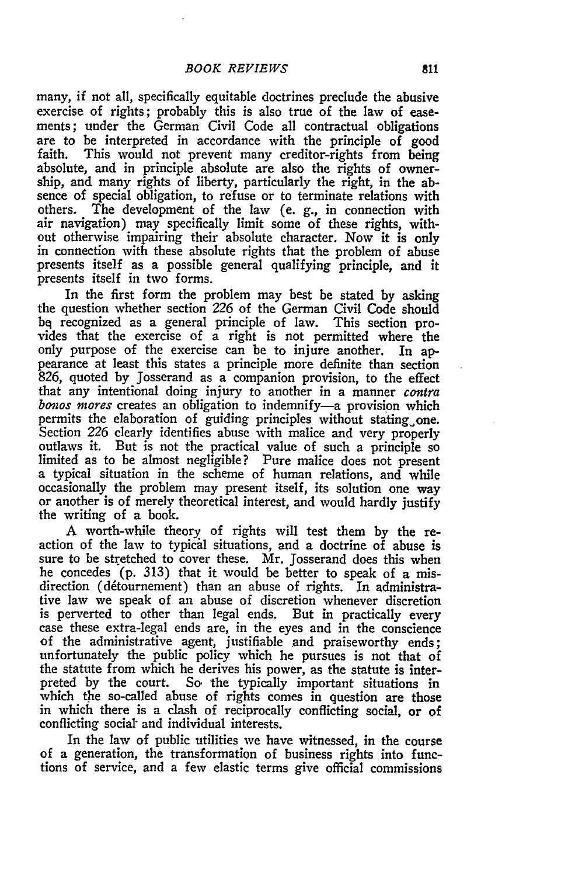many, if not all, specifically equitable doctrines preclude the abusive exercise of rights; probably this is also true of the law of easements; under the German Civil Code all contractual obligations are to be interpreted in accordance with the principle of good faith. This would not prevent many creditor-rights from being absolute, and in principle absolute are also the rights of ownership, and many rights of liberty, particularly the right, in the absence of special obligation, to refuse or to terminate relations with others. The development of the law (e. g., in connection with air navigation) may specifically limit some of these rights, without otherwise impairing their absolute character. Now it is only in connection with these absolute rights that the problem of abuse presents itself as a possible general qualifying principle, and it presents itself in two forms.

In the first form the problem may best be stated by asking the question whether section 226 of the German Civil Code should bq recognized as a general principle of law. This section provides that the exercise of a right is not permitted where the only purpose of the exercise can be to injure another. In appearance at least this states a principle more definite than section 826, quoted by Josserand as a companion provision, to the effect that any intentional doing injury to another in a manner contra *bonos mores* creates an obligation to indemnify-a provision which permits the elaboration of guiding principles without stating one. Section *226* clearly identifies abuse with malice and very properly outlaws it. But is not the practical value of such a principle so limited as to be almost negligible? Pure malice does not present a typical situation in the scheme of human relations, and while occasionally the problem may present itself, its solution one way or another is of merely theoretical interest, and would hardly justify the writing of a book.

**A** worth-while theory of rights will test them **by** the reaction of the law to typical situations, and a doctrine of abuse is sure to be stretched to cover these. Mr. Josserand does this when he concedes **(p. 313)** that it would be better to speak of a misdirection (détournement) than an abuse of rights. In administrative law we speak of an abuse of discretion whenever discretion is perverted to other than legal ends. But in practically every case these extra-legal ends are, in the eyes and in the conscience of the administrative agent, justifiable and praiseworthy ends; unfortunately the public policy which he pursues is not that of the statute from which he derives his power, as the statute is interpreted **by** the court. So the typically important situations in which the so-called abuse of rights comes in question are those in which there is a **cash** of reciprocally conflicting social, or of conflicting social- and individual interests.

In the law of public utilities we have witnessed, in the course of a generation, the transformation of business rights into functions of service, and a **few** elastic terms give official commissions